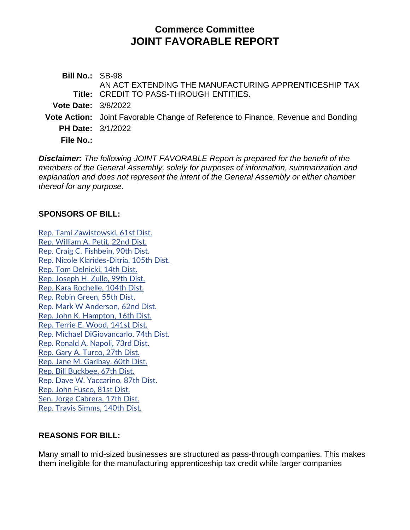# **Commerce Committee JOINT FAVORABLE REPORT**

**Bill No.:** SB-98 **Title:** CREDIT TO PASS-THROUGH ENTITIES. AN ACT EXTENDING THE MANUFACTURING APPRENTICESHIP TAX **Vote Date:** 3/8/2022 **Vote Action:** Joint Favorable Change of Reference to Finance, Revenue and Bonding **PH Date:** 3/1/2022 **File No.:**

*Disclaimer: The following JOINT FAVORABLE Report is prepared for the benefit of the members of the General Assembly, solely for purposes of information, summarization and explanation and does not represent the intent of the General Assembly or either chamber thereof for any purpose.*

#### **SPONSORS OF BILL:**

[Rep. Tami Zawistowski, 61st Dist.](http://cgalites/asp/CGABillStatus/CGAMemberBills.asp?dist_code=%27061%27) [Rep. William A. Petit, 22nd Dist.](http://cgalites/asp/CGABillStatus/CGAMemberBills.asp?dist_code=%27022%27) [Rep. Craig C. Fishbein, 90th Dist.](http://cgalites/asp/CGABillStatus/CGAMemberBills.asp?dist_code=%27090%27) [Rep. Nicole Klarides-Ditria, 105th Dist.](http://cgalites/asp/CGABillStatus/CGAMemberBills.asp?dist_code=%27105%27) [Rep. Tom Delnicki, 14th Dist.](http://cgalites/asp/CGABillStatus/CGAMemberBills.asp?dist_code=%27014%27) [Rep. Joseph H. Zullo, 99th Dist.](http://cgalites/asp/CGABillStatus/CGAMemberBills.asp?dist_code=%27099%27) [Rep. Kara Rochelle, 104th Dist.](http://cgalites/asp/CGABillStatus/CGAMemberBills.asp?dist_code=%27104%27) [Rep. Robin Green, 55th Dist.](http://cgalites/asp/CGABillStatus/CGAMemberBills.asp?dist_code=%27055%27) [Rep. Mark W Anderson, 62nd Dist.](http://cgalites/asp/CGABillStatus/CGAMemberBills.asp?dist_code=%27062%27) [Rep. John K. Hampton, 16th Dist.](http://cgalites/asp/CGABillStatus/CGAMemberBills.asp?dist_code=%27016%27) [Rep. Terrie E. Wood, 141st Dist.](http://cgalites/asp/CGABillStatus/CGAMemberBills.asp?dist_code=%27141%27) [Rep. Michael DiGiovancarlo, 74th Dist.](http://cgalites/asp/CGABillStatus/CGAMemberBills.asp?dist_code=%27074%27) [Rep. Ronald A. Napoli, 73rd Dist.](http://cgalites/asp/CGABillStatus/CGAMemberBills.asp?dist_code=%27073%27) [Rep. Gary A. Turco, 27th Dist.](http://cgalites/asp/CGABillStatus/CGAMemberBills.asp?dist_code=%27027%27) [Rep. Jane M. Garibay, 60th Dist.](http://cgalites/asp/CGABillStatus/CGAMemberBills.asp?dist_code=%27060%27) [Rep. Bill Buckbee, 67th Dist.](http://cgalites/asp/CGABillStatus/CGAMemberBills.asp?dist_code=%27067%27) [Rep. Dave W. Yaccarino, 87th Dist.](http://cgalites/asp/CGABillStatus/CGAMemberBills.asp?dist_code=%27087%27) [Rep. John Fusco, 81st Dist.](http://cgalites/asp/CGABillStatus/CGAMemberBills.asp?dist_code=%27081%27) [Sen. Jorge Cabrera, 17th Dist.](http://cgalites/asp/CGABillStatus/CGAMemberBills.asp?dist_code=%27S17%27) [Rep. Travis Simms, 140th Dist.](http://cgalites/asp/CGABillStatus/CGAMemberBills.asp?dist_code=%27140%27)

### **REASONS FOR BILL:**

Many small to mid-sized businesses are structured as pass-through companies. This makes them ineligible for the manufacturing apprenticeship tax credit while larger companies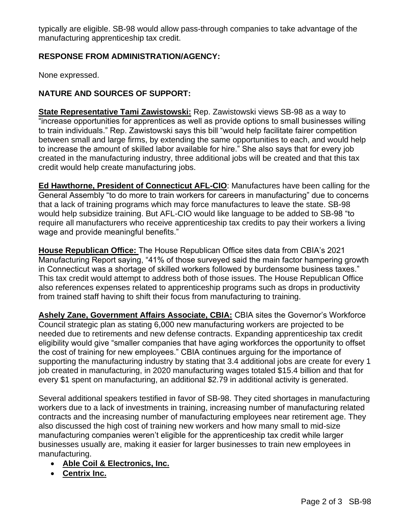typically are eligible. SB-98 would allow pass-through companies to take advantage of the manufacturing apprenticeship tax credit.

### **RESPONSE FROM ADMINISTRATION/AGENCY:**

None expressed.

## **NATURE AND SOURCES OF SUPPORT:**

**State Representative Tami Zawistowski:** Rep. Zawistowski views SB-98 as a way to "increase opportunities for apprentices as well as provide options to small businesses willing to train individuals." Rep. Zawistowski says this bill "would help facilitate fairer competition between small and large firms, by extending the same opportunities to each, and would help to increase the amount of skilled labor available for hire." She also says that for every job created in the manufacturing industry, three additional jobs will be created and that this tax credit would help create manufacturing jobs.

**Ed Hawthorne, President of Connecticut AFL-CIO**: Manufactures have been calling for the General Assembly "to do more to train workers for careers in manufacturing" due to concerns that a lack of training programs which may force manufactures to leave the state. SB-98 would help subsidize training. But AFL-CIO would like language to be added to SB-98 "to require all manufacturers who receive apprenticeship tax credits to pay their workers a living wage and provide meaningful benefits."

**House Republican Office:** The House Republican Office sites data from CBIA's 2021 Manufacturing Report saying, "41% of those surveyed said the main factor hampering growth in Connecticut was a shortage of skilled workers followed by burdensome business taxes." This tax credit would attempt to address both of those issues. The House Republican Office also references expenses related to apprenticeship programs such as drops in productivity from trained staff having to shift their focus from manufacturing to training.

**Ashely Zane, Government Affairs Associate, CBIA:** CBIA sites the Governor's Workforce Council strategic plan as stating 6,000 new manufacturing workers are projected to be needed due to retirements and new defense contracts. Expanding apprenticeship tax credit eligibility would give "smaller companies that have aging workforces the opportunity to offset the cost of training for new employees." CBIA continues arguing for the importance of supporting the manufacturing industry by stating that 3.4 additional jobs are create for every 1 job created in manufacturing, in 2020 manufacturing wages totaled \$15.4 billion and that for every \$1 spent on manufacturing, an additional \$2.79 in additional activity is generated.

Several additional speakers testified in favor of SB-98. They cited shortages in manufacturing workers due to a lack of investments in training, increasing number of manufacturing related contracts and the increasing number of manufacturing employees near retirement age. They also discussed the high cost of training new workers and how many small to mid-size manufacturing companies weren't eligible for the apprenticeship tax credit while larger businesses usually are, making it easier for larger businesses to train new employees in manufacturing.

- **Able Coil & Electronics, Inc.**
- **Centrix Inc.**